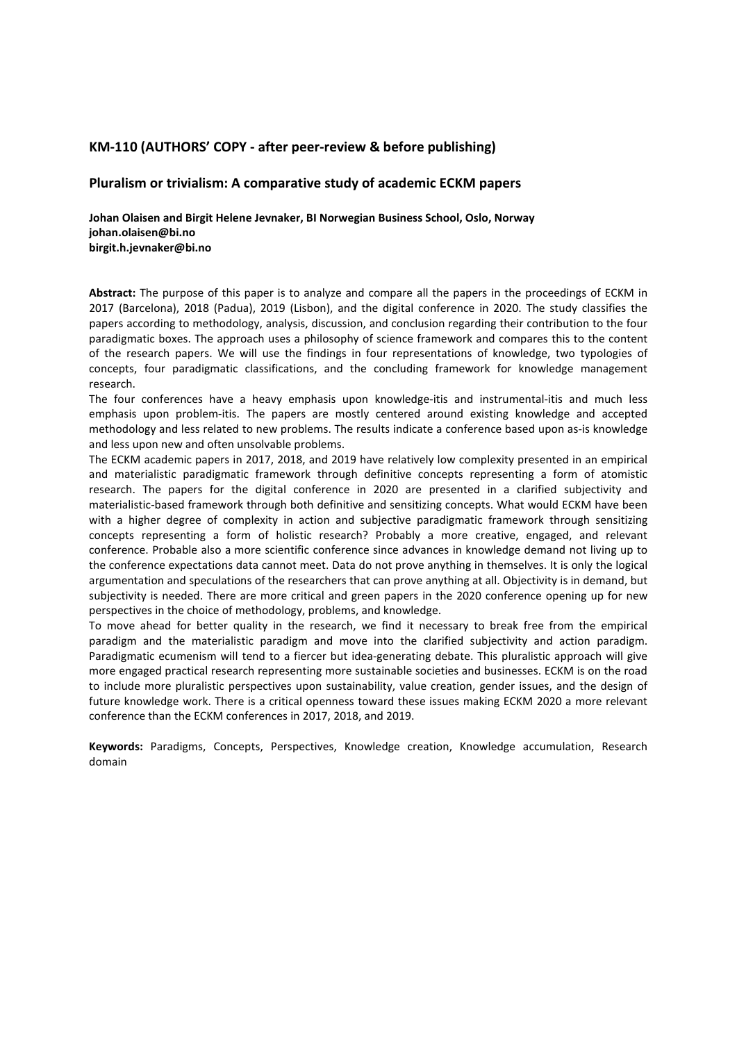# **KM-110 (AUTHORS' COPY - after peer-review & before publishing)**

## **Pluralism or trivialism: A comparative study of academic ECKM papers**

**Johan Olaisen and Birgit Helene Jevnaker, BI Norwegian Business School, Oslo, Norway johan.olaisen@bi.no birgit.h.jevnaker@bi.no**

**Abstract:** The purpose of this paper is to analyze and compare all the papers in the proceedings of ECKM in 2017 (Barcelona), 2018 (Padua), 2019 (Lisbon), and the digital conference in 2020. The study classifies the papers according to methodology, analysis, discussion, and conclusion regarding their contribution to the four paradigmatic boxes. The approach uses a philosophy of science framework and compares this to the content of the research papers. We will use the findings in four representations of knowledge, two typologies of concepts, four paradigmatic classifications, and the concluding framework for knowledge management research.

The four conferences have a heavy emphasis upon knowledge-itis and instrumental-itis and much less emphasis upon problem-itis. The papers are mostly centered around existing knowledge and accepted methodology and less related to new problems. The results indicate a conference based upon as-is knowledge and less upon new and often unsolvable problems.

The ECKM academic papers in 2017, 2018, and 2019 have relatively low complexity presented in an empirical and materialistic paradigmatic framework through definitive concepts representing a form of atomistic research. The papers for the digital conference in 2020 are presented in a clarified subjectivity and materialistic-based framework through both definitive and sensitizing concepts. What would ECKM have been with a higher degree of complexity in action and subjective paradigmatic framework through sensitizing concepts representing a form of holistic research? Probably a more creative, engaged, and relevant conference. Probable also a more scientific conference since advances in knowledge demand not living up to the conference expectations data cannot meet. Data do not prove anything in themselves. It is only the logical argumentation and speculations of the researchers that can prove anything at all. Objectivity is in demand, but subjectivity is needed. There are more critical and green papers in the 2020 conference opening up for new perspectives in the choice of methodology, problems, and knowledge.

To move ahead for better quality in the research, we find it necessary to break free from the empirical paradigm and the materialistic paradigm and move into the clarified subjectivity and action paradigm. Paradigmatic ecumenism will tend to a fiercer but idea-generating debate. This pluralistic approach will give more engaged practical research representing more sustainable societies and businesses. ECKM is on the road to include more pluralistic perspectives upon sustainability, value creation, gender issues, and the design of future knowledge work. There is a critical openness toward these issues making ECKM 2020 a more relevant conference than the ECKM conferences in 2017, 2018, and 2019.

**Keywords:** Paradigms, Concepts, Perspectives, Knowledge creation, Knowledge accumulation, Research domain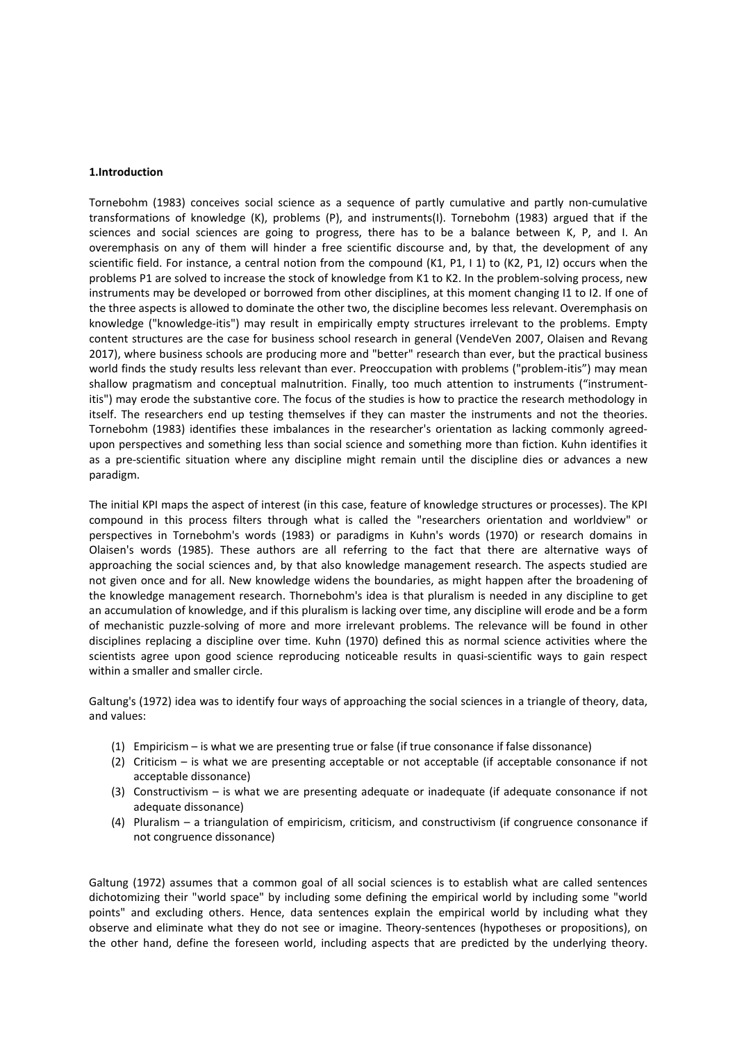#### **1.Introduction**

Tornebohm (1983) conceives social science as a sequence of partly cumulative and partly non-cumulative transformations of knowledge (K), problems (P), and instruments(I). Tornebohm (1983) argued that if the sciences and social sciences are going to progress, there has to be a balance between K, P, and I. An overemphasis on any of them will hinder a free scientific discourse and, by that, the development of any scientific field. For instance, a central notion from the compound (K1, P1, I 1) to (K2, P1, I2) occurs when the problems P1 are solved to increase the stock of knowledge from K1 to K2. In the problem-solving process, new instruments may be developed or borrowed from other disciplines, at this moment changing I1 to I2. If one of the three aspects is allowed to dominate the other two, the discipline becomes less relevant. Overemphasis on knowledge ("knowledge-itis") may result in empirically empty structures irrelevant to the problems. Empty content structures are the case for business school research in general (VendeVen 2007, Olaisen and Revang 2017), where business schools are producing more and "better" research than ever, but the practical business world finds the study results less relevant than ever. Preoccupation with problems ("problem-itis") may mean shallow pragmatism and conceptual malnutrition. Finally, too much attention to instruments ("instrumentitis") may erode the substantive core. The focus of the studies is how to practice the research methodology in itself. The researchers end up testing themselves if they can master the instruments and not the theories. Tornebohm (1983) identifies these imbalances in the researcher's orientation as lacking commonly agreedupon perspectives and something less than social science and something more than fiction. Kuhn identifies it as a pre-scientific situation where any discipline might remain until the discipline dies or advances a new paradigm.

The initial KPI maps the aspect of interest (in this case, feature of knowledge structures or processes). The KPI compound in this process filters through what is called the "researchers orientation and worldview" or perspectives in Tornebohm's words (1983) or paradigms in Kuhn's words (1970) or research domains in Olaisen's words (1985). These authors are all referring to the fact that there are alternative ways of approaching the social sciences and, by that also knowledge management research. The aspects studied are not given once and for all. New knowledge widens the boundaries, as might happen after the broadening of the knowledge management research. Thornebohm's idea is that pluralism is needed in any discipline to get an accumulation of knowledge, and if this pluralism is lacking over time, any discipline will erode and be a form of mechanistic puzzle-solving of more and more irrelevant problems. The relevance will be found in other disciplines replacing a discipline over time. Kuhn (1970) defined this as normal science activities where the scientists agree upon good science reproducing noticeable results in quasi-scientific ways to gain respect within a smaller and smaller circle.

Galtung's (1972) idea was to identify four ways of approaching the social sciences in a triangle of theory, data, and values:

- (1) Empiricism is what we are presenting true or false (if true consonance if false dissonance)
- (2) Criticism is what we are presenting acceptable or not acceptable (if acceptable consonance if not acceptable dissonance)
- (3) Constructivism is what we are presenting adequate or inadequate (if adequate consonance if not adequate dissonance)
- (4) Pluralism a triangulation of empiricism, criticism, and constructivism (if congruence consonance if not congruence dissonance)

Galtung (1972) assumes that a common goal of all social sciences is to establish what are called sentences dichotomizing their "world space" by including some defining the empirical world by including some "world points" and excluding others. Hence, data sentences explain the empirical world by including what they observe and eliminate what they do not see or imagine. Theory-sentences (hypotheses or propositions), on the other hand, define the foreseen world, including aspects that are predicted by the underlying theory.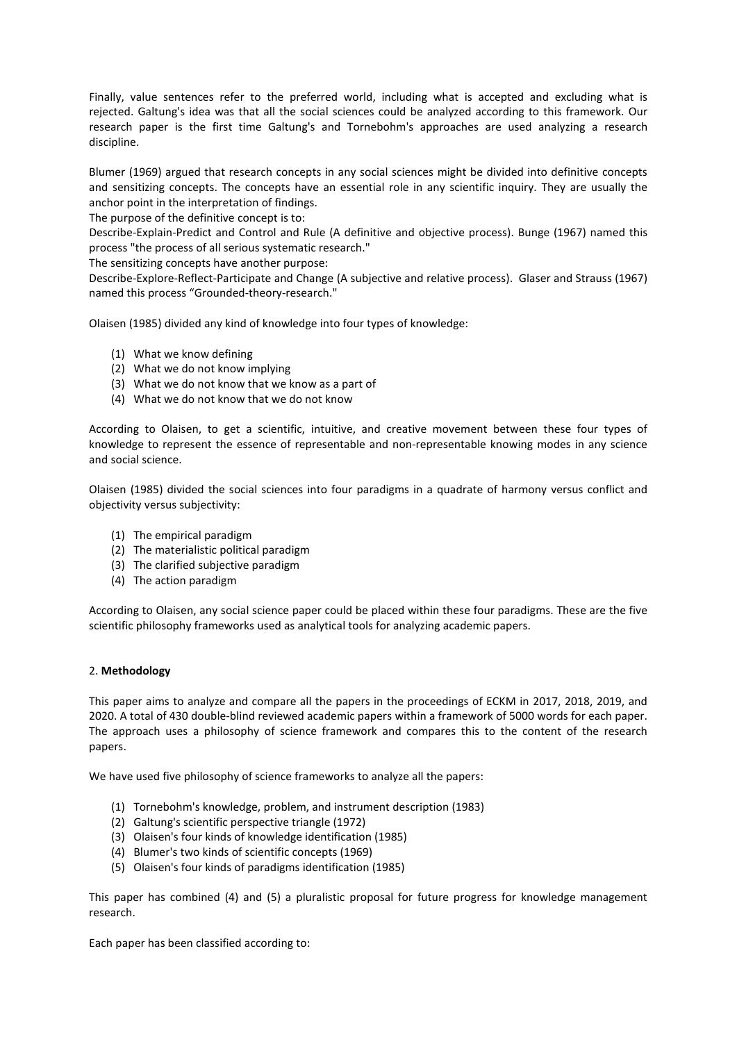Finally, value sentences refer to the preferred world, including what is accepted and excluding what is rejected. Galtung's idea was that all the social sciences could be analyzed according to this framework. Our research paper is the first time Galtung's and Tornebohm's approaches are used analyzing a research discipline.

Blumer (1969) argued that research concepts in any social sciences might be divided into definitive concepts and sensitizing concepts. The concepts have an essential role in any scientific inquiry. They are usually the anchor point in the interpretation of findings.

The purpose of the definitive concept is to:

Describe-Explain-Predict and Control and Rule (A definitive and objective process). Bunge (1967) named this process "the process of all serious systematic research."

The sensitizing concepts have another purpose:

Describe-Explore-Reflect-Participate and Change (A subjective and relative process). Glaser and Strauss (1967) named this process "Grounded-theory-research."

Olaisen (1985) divided any kind of knowledge into four types of knowledge:

- (1) What we know defining
- (2) What we do not know implying
- (3) What we do not know that we know as a part of
- (4) What we do not know that we do not know

According to Olaisen, to get a scientific, intuitive, and creative movement between these four types of knowledge to represent the essence of representable and non-representable knowing modes in any science and social science.

Olaisen (1985) divided the social sciences into four paradigms in a quadrate of harmony versus conflict and objectivity versus subjectivity:

- (1) The empirical paradigm
- (2) The materialistic political paradigm
- (3) The clarified subjective paradigm
- (4) The action paradigm

According to Olaisen, any social science paper could be placed within these four paradigms. These are the five scientific philosophy frameworks used as analytical tools for analyzing academic papers.

### 2. **Methodology**

This paper aims to analyze and compare all the papers in the proceedings of ECKM in 2017, 2018, 2019, and 2020. A total of 430 double-blind reviewed academic papers within a framework of 5000 words for each paper. The approach uses a philosophy of science framework and compares this to the content of the research papers.

We have used five philosophy of science frameworks to analyze all the papers:

- (1) Tornebohm's knowledge, problem, and instrument description (1983)
- (2) Galtung's scientific perspective triangle (1972)
- (3) Olaisen's four kinds of knowledge identification (1985)
- (4) Blumer's two kinds of scientific concepts (1969)
- (5) Olaisen's four kinds of paradigms identification (1985)

This paper has combined (4) and (5) a pluralistic proposal for future progress for knowledge management research.

Each paper has been classified according to: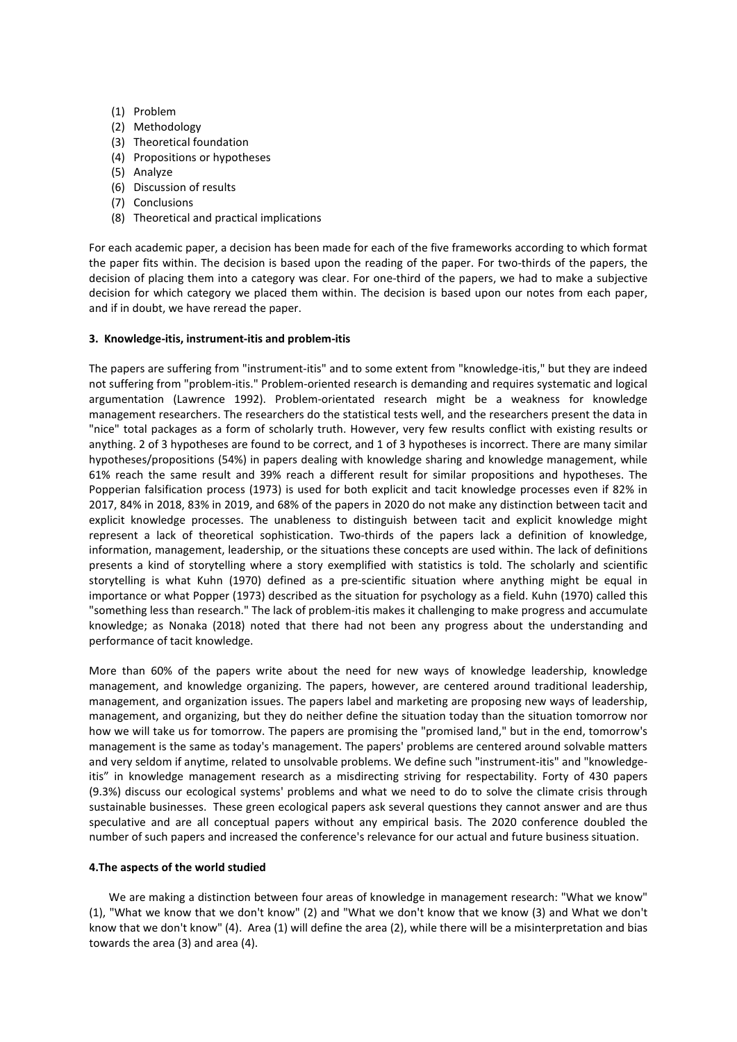- (1) Problem
- (2) Methodology
- (3) Theoretical foundation
- (4) Propositions or hypotheses
- (5) Analyze
- (6) Discussion of results
- (7) Conclusions
- (8) Theoretical and practical implications

For each academic paper, a decision has been made for each of the five frameworks according to which format the paper fits within. The decision is based upon the reading of the paper. For two-thirds of the papers, the decision of placing them into a category was clear. For one-third of the papers, we had to make a subjective decision for which category we placed them within. The decision is based upon our notes from each paper, and if in doubt, we have reread the paper.

### **3. Knowledge-itis, instrument-itis and problem-itis**

The papers are suffering from "instrument-itis" and to some extent from "knowledge-itis," but they are indeed not suffering from "problem-itis." Problem-oriented research is demanding and requires systematic and logical argumentation (Lawrence 1992). Problem-orientated research might be a weakness for knowledge management researchers. The researchers do the statistical tests well, and the researchers present the data in "nice" total packages as a form of scholarly truth. However, very few results conflict with existing results or anything. 2 of 3 hypotheses are found to be correct, and 1 of 3 hypotheses is incorrect. There are many similar hypotheses/propositions (54%) in papers dealing with knowledge sharing and knowledge management, while 61% reach the same result and 39% reach a different result for similar propositions and hypotheses. The Popperian falsification process (1973) is used for both explicit and tacit knowledge processes even if 82% in 2017, 84% in 2018, 83% in 2019, and 68% of the papers in 2020 do not make any distinction between tacit and explicit knowledge processes. The unableness to distinguish between tacit and explicit knowledge might represent a lack of theoretical sophistication. Two-thirds of the papers lack a definition of knowledge, information, management, leadership, or the situations these concepts are used within. The lack of definitions presents a kind of storytelling where a story exemplified with statistics is told. The scholarly and scientific storytelling is what Kuhn (1970) defined as a pre-scientific situation where anything might be equal in importance or what Popper (1973) described as the situation for psychology as a field. Kuhn (1970) called this "something less than research." The lack of problem-itis makes it challenging to make progress and accumulate knowledge; as Nonaka (2018) noted that there had not been any progress about the understanding and performance of tacit knowledge.

More than 60% of the papers write about the need for new ways of knowledge leadership, knowledge management, and knowledge organizing. The papers, however, are centered around traditional leadership, management, and organization issues. The papers label and marketing are proposing new ways of leadership, management, and organizing, but they do neither define the situation today than the situation tomorrow nor how we will take us for tomorrow. The papers are promising the "promised land," but in the end, tomorrow's management is the same as today's management. The papers' problems are centered around solvable matters and very seldom if anytime, related to unsolvable problems. We define such "instrument-itis" and "knowledgeitis" in knowledge management research as a misdirecting striving for respectability. Forty of 430 papers (9.3%) discuss our ecological systems' problems and what we need to do to solve the climate crisis through sustainable businesses. These green ecological papers ask several questions they cannot answer and are thus speculative and are all conceptual papers without any empirical basis. The 2020 conference doubled the number of such papers and increased the conference's relevance for our actual and future business situation.

### **4.The aspects of the world studied**

 We are making a distinction between four areas of knowledge in management research: "What we know" (1), "What we know that we don't know" (2) and "What we don't know that we know (3) and What we don't know that we don't know" (4). Area (1) will define the area (2), while there will be a misinterpretation and bias towards the area (3) and area (4).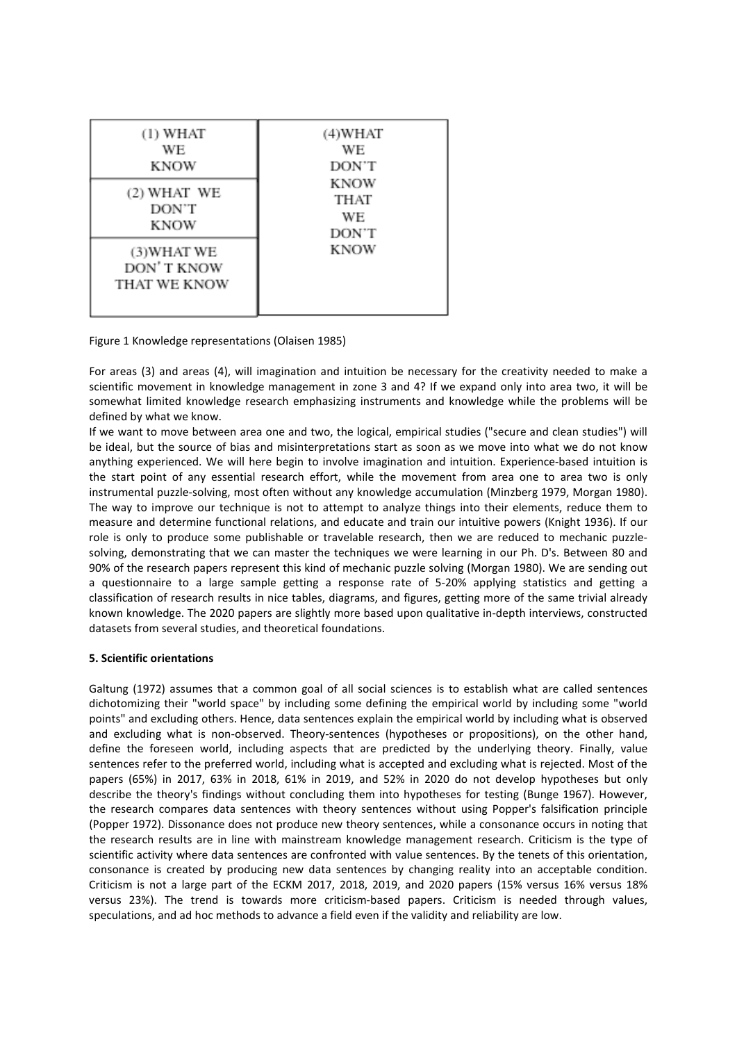| (1) WHAT<br>WE<br>KNOW                    | (4)WHAT<br>WЕ<br>DON'T<br>KNOW<br>THAT<br>WЕ<br>DON'T<br><b>KNOW</b> |
|-------------------------------------------|----------------------------------------------------------------------|
| (2) WHAT WE<br>DON'T<br>KNOW              |                                                                      |
| (3) WHAT WE<br>DON'T KNOW<br>THAT WE KNOW |                                                                      |

Figure 1 Knowledge representations (Olaisen 1985)

For areas (3) and areas (4), will imagination and intuition be necessary for the creativity needed to make a scientific movement in knowledge management in zone 3 and 4? If we expand only into area two, it will be somewhat limited knowledge research emphasizing instruments and knowledge while the problems will be defined by what we know.

If we want to move between area one and two, the logical, empirical studies ("secure and clean studies") will be ideal, but the source of bias and misinterpretations start as soon as we move into what we do not know anything experienced. We will here begin to involve imagination and intuition. Experience-based intuition is the start point of any essential research effort, while the movement from area one to area two is only instrumental puzzle-solving, most often without any knowledge accumulation (Minzberg 1979, Morgan 1980). The way to improve our technique is not to attempt to analyze things into their elements, reduce them to measure and determine functional relations, and educate and train our intuitive powers (Knight 1936). If our role is only to produce some publishable or travelable research, then we are reduced to mechanic puzzlesolving, demonstrating that we can master the techniques we were learning in our Ph. D's. Between 80 and 90% of the research papers represent this kind of mechanic puzzle solving (Morgan 1980). We are sending out a questionnaire to a large sample getting a response rate of 5-20% applying statistics and getting a classification of research results in nice tables, diagrams, and figures, getting more of the same trivial already known knowledge. The 2020 papers are slightly more based upon qualitative in-depth interviews, constructed datasets from several studies, and theoretical foundations.

### **5. Scientific orientations**

Galtung (1972) assumes that a common goal of all social sciences is to establish what are called sentences dichotomizing their "world space" by including some defining the empirical world by including some "world points" and excluding others. Hence, data sentences explain the empirical world by including what is observed and excluding what is non-observed. Theory-sentences (hypotheses or propositions), on the other hand, define the foreseen world, including aspects that are predicted by the underlying theory. Finally, value sentences refer to the preferred world, including what is accepted and excluding what is rejected. Most of the papers (65%) in 2017, 63% in 2018, 61% in 2019, and 52% in 2020 do not develop hypotheses but only describe the theory's findings without concluding them into hypotheses for testing (Bunge 1967). However, the research compares data sentences with theory sentences without using Popper's falsification principle (Popper 1972). Dissonance does not produce new theory sentences, while a consonance occurs in noting that the research results are in line with mainstream knowledge management research. Criticism is the type of scientific activity where data sentences are confronted with value sentences. By the tenets of this orientation, consonance is created by producing new data sentences by changing reality into an acceptable condition. Criticism is not a large part of the ECKM 2017, 2018, 2019, and 2020 papers (15% versus 16% versus 18% versus 23%). The trend is towards more criticism-based papers. Criticism is needed through values, speculations, and ad hoc methods to advance a field even if the validity and reliability are low.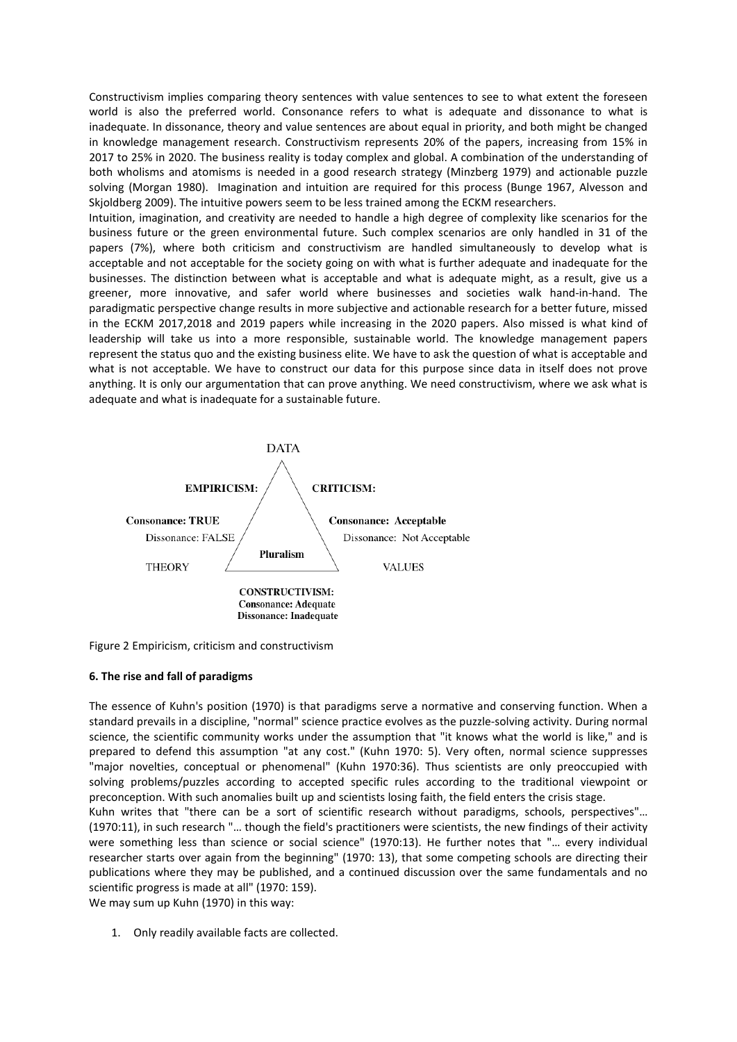Constructivism implies comparing theory sentences with value sentences to see to what extent the foreseen world is also the preferred world. Consonance refers to what is adequate and dissonance to what is inadequate. In dissonance, theory and value sentences are about equal in priority, and both might be changed in knowledge management research. Constructivism represents 20% of the papers, increasing from 15% in 2017 to 25% in 2020. The business reality is today complex and global. A combination of the understanding of both wholisms and atomisms is needed in a good research strategy (Minzberg 1979) and actionable puzzle solving (Morgan 1980). Imagination and intuition are required for this process (Bunge 1967, Alvesson and Skjoldberg 2009). The intuitive powers seem to be less trained among the ECKM researchers.

Intuition, imagination, and creativity are needed to handle a high degree of complexity like scenarios for the business future or the green environmental future. Such complex scenarios are only handled in 31 of the papers (7%), where both criticism and constructivism are handled simultaneously to develop what is acceptable and not acceptable for the society going on with what is further adequate and inadequate for the businesses. The distinction between what is acceptable and what is adequate might, as a result, give us a greener, more innovative, and safer world where businesses and societies walk hand-in-hand. The paradigmatic perspective change results in more subjective and actionable research for a better future, missed in the ECKM 2017,2018 and 2019 papers while increasing in the 2020 papers. Also missed is what kind of leadership will take us into a more responsible, sustainable world. The knowledge management papers represent the status quo and the existing business elite. We have to ask the question of what is acceptable and what is not acceptable. We have to construct our data for this purpose since data in itself does not prove anything. It is only our argumentation that can prove anything. We need constructivism, where we ask what is adequate and what is inadequate for a sustainable future.



Figure 2 Empiricism, criticism and constructivism

### **6. The rise and fall of paradigms**

The essence of Kuhn's position (1970) is that paradigms serve a normative and conserving function. When a standard prevails in a discipline, "normal" science practice evolves as the puzzle-solving activity. During normal science, the scientific community works under the assumption that "it knows what the world is like," and is prepared to defend this assumption "at any cost." (Kuhn 1970: 5). Very often, normal science suppresses "major novelties, conceptual or phenomenal" (Kuhn 1970:36). Thus scientists are only preoccupied with solving problems/puzzles according to accepted specific rules according to the traditional viewpoint or preconception. With such anomalies built up and scientists losing faith, the field enters the crisis stage.

Kuhn writes that "there can be a sort of scientific research without paradigms, schools, perspectives"… (1970:11), in such research "… though the field's practitioners were scientists, the new findings of their activity were something less than science or social science" (1970:13). He further notes that "… every individual researcher starts over again from the beginning" (1970: 13), that some competing schools are directing their publications where they may be published, and a continued discussion over the same fundamentals and no scientific progress is made at all" (1970: 159).

We may sum up Kuhn (1970) in this way:

1. Only readily available facts are collected.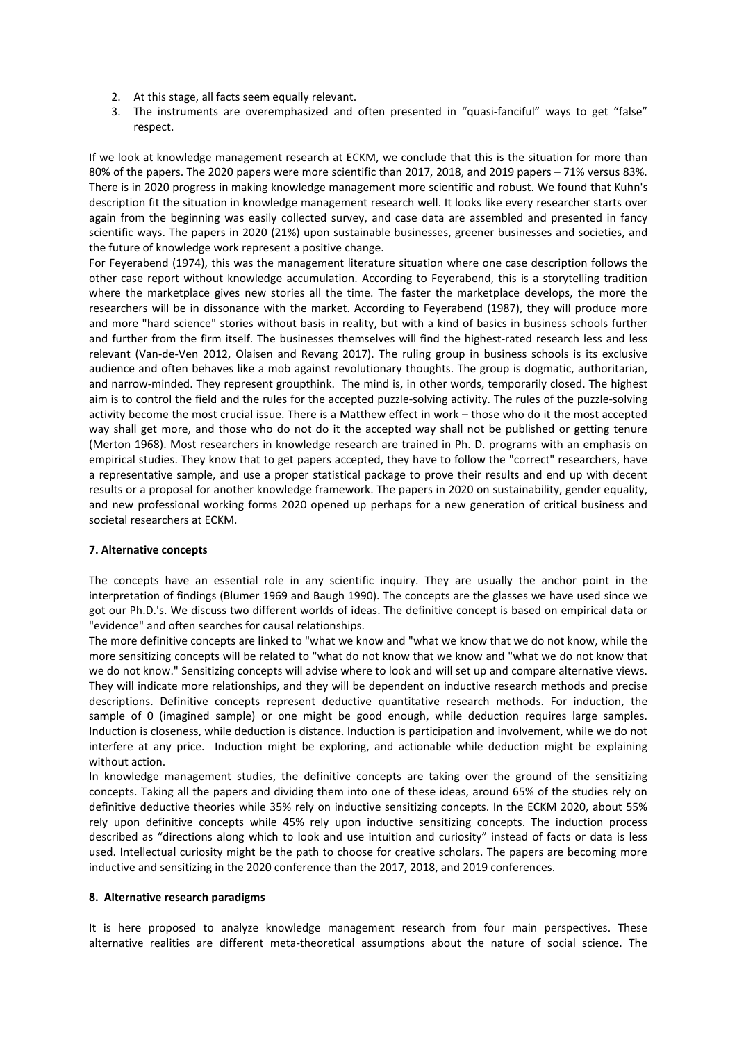- 2. At this stage, all facts seem equally relevant.
- 3. The instruments are overemphasized and often presented in "quasi-fanciful" ways to get "false" respect.

If we look at knowledge management research at ECKM, we conclude that this is the situation for more than 80% of the papers. The 2020 papers were more scientific than 2017, 2018, and 2019 papers – 71% versus 83%. There is in 2020 progress in making knowledge management more scientific and robust. We found that Kuhn's description fit the situation in knowledge management research well. It looks like every researcher starts over again from the beginning was easily collected survey, and case data are assembled and presented in fancy scientific ways. The papers in 2020 (21%) upon sustainable businesses, greener businesses and societies, and the future of knowledge work represent a positive change.

For Feyerabend (1974), this was the management literature situation where one case description follows the other case report without knowledge accumulation. According to Feyerabend, this is a storytelling tradition where the marketplace gives new stories all the time. The faster the marketplace develops, the more the researchers will be in dissonance with the market. According to Feyerabend (1987), they will produce more and more "hard science" stories without basis in reality, but with a kind of basics in business schools further and further from the firm itself. The businesses themselves will find the highest-rated research less and less relevant (Van-de-Ven 2012, Olaisen and Revang 2017). The ruling group in business schools is its exclusive audience and often behaves like a mob against revolutionary thoughts. The group is dogmatic, authoritarian, and narrow-minded. They represent groupthink. The mind is, in other words, temporarily closed. The highest aim is to control the field and the rules for the accepted puzzle-solving activity. The rules of the puzzle-solving activity become the most crucial issue. There is a Matthew effect in work – those who do it the most accepted way shall get more, and those who do not do it the accepted way shall not be published or getting tenure (Merton 1968). Most researchers in knowledge research are trained in Ph. D. programs with an emphasis on empirical studies. They know that to get papers accepted, they have to follow the "correct" researchers, have a representative sample, and use a proper statistical package to prove their results and end up with decent results or a proposal for another knowledge framework. The papers in 2020 on sustainability, gender equality, and new professional working forms 2020 opened up perhaps for a new generation of critical business and societal researchers at ECKM.

### **7. Alternative concepts**

The concepts have an essential role in any scientific inquiry. They are usually the anchor point in the interpretation of findings (Blumer 1969 and Baugh 1990). The concepts are the glasses we have used since we got our Ph.D.'s. We discuss two different worlds of ideas. The definitive concept is based on empirical data or "evidence" and often searches for causal relationships.

The more definitive concepts are linked to "what we know and "what we know that we do not know, while the more sensitizing concepts will be related to "what do not know that we know and "what we do not know that we do not know." Sensitizing concepts will advise where to look and will set up and compare alternative views. They will indicate more relationships, and they will be dependent on inductive research methods and precise descriptions. Definitive concepts represent deductive quantitative research methods. For induction, the sample of 0 (imagined sample) or one might be good enough, while deduction requires large samples. Induction is closeness, while deduction is distance. Induction is participation and involvement, while we do not interfere at any price. Induction might be exploring, and actionable while deduction might be explaining without action.

In knowledge management studies, the definitive concepts are taking over the ground of the sensitizing concepts. Taking all the papers and dividing them into one of these ideas, around 65% of the studies rely on definitive deductive theories while 35% rely on inductive sensitizing concepts. In the ECKM 2020, about 55% rely upon definitive concepts while 45% rely upon inductive sensitizing concepts. The induction process described as "directions along which to look and use intuition and curiosity" instead of facts or data is less used. Intellectual curiosity might be the path to choose for creative scholars. The papers are becoming more inductive and sensitizing in the 2020 conference than the 2017, 2018, and 2019 conferences.

### **8. Alternative research paradigms**

It is here proposed to analyze knowledge management research from four main perspectives. These alternative realities are different meta-theoretical assumptions about the nature of social science. The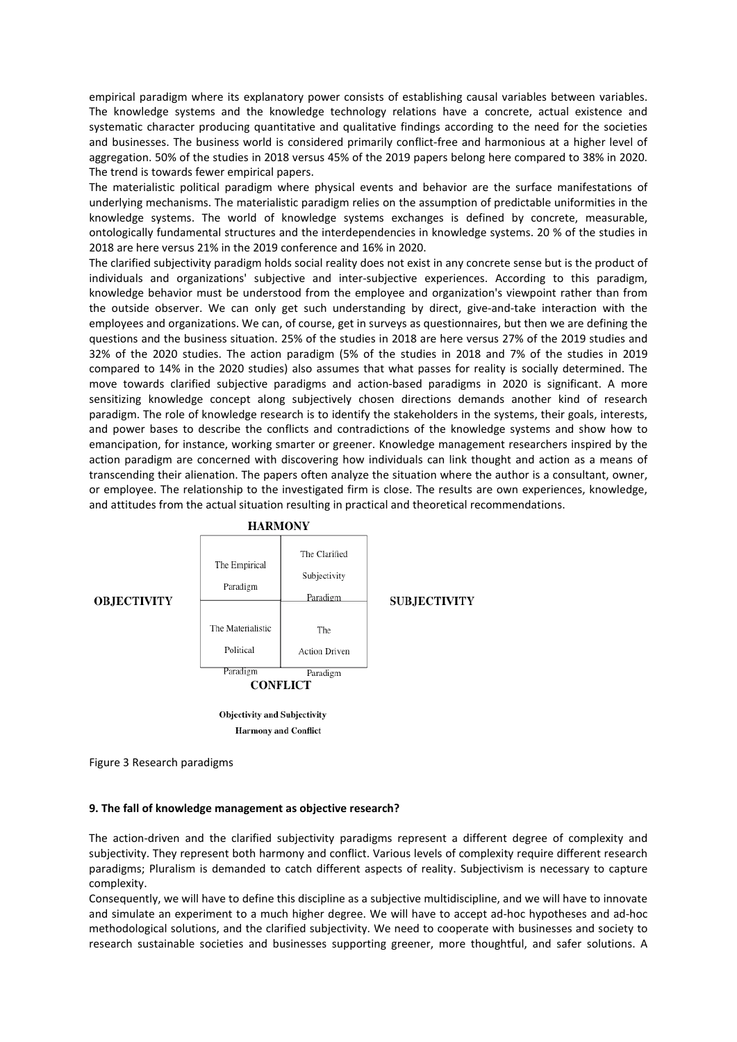empirical paradigm where its explanatory power consists of establishing causal variables between variables. The knowledge systems and the knowledge technology relations have a concrete, actual existence and systematic character producing quantitative and qualitative findings according to the need for the societies and businesses. The business world is considered primarily conflict-free and harmonious at a higher level of aggregation. 50% of the studies in 2018 versus 45% of the 2019 papers belong here compared to 38% in 2020. The trend is towards fewer empirical papers.

The materialistic political paradigm where physical events and behavior are the surface manifestations of underlying mechanisms. The materialistic paradigm relies on the assumption of predictable uniformities in the knowledge systems. The world of knowledge systems exchanges is defined by concrete, measurable, ontologically fundamental structures and the interdependencies in knowledge systems. 20 % of the studies in 2018 are here versus 21% in the 2019 conference and 16% in 2020.

The clarified subjectivity paradigm holds social reality does not exist in any concrete sense but is the product of individuals and organizations' subjective and inter-subjective experiences. According to this paradigm, knowledge behavior must be understood from the employee and organization's viewpoint rather than from the outside observer. We can only get such understanding by direct, give-and-take interaction with the employees and organizations. We can, of course, get in surveys as questionnaires, but then we are defining the questions and the business situation. 25% of the studies in 2018 are here versus 27% of the 2019 studies and 32% of the 2020 studies. The action paradigm (5% of the studies in 2018 and 7% of the studies in 2019 compared to 14% in the 2020 studies) also assumes that what passes for reality is socially determined. The move towards clarified subjective paradigms and action-based paradigms in 2020 is significant. A more sensitizing knowledge concept along subjectively chosen directions demands another kind of research paradigm. The role of knowledge research is to identify the stakeholders in the systems, their goals, interests, and power bases to describe the conflicts and contradictions of the knowledge systems and show how to emancipation, for instance, working smarter or greener. Knowledge management researchers inspired by the action paradigm are concerned with discovering how individuals can link thought and action as a means of transcending their alienation. The papers often analyze the situation where the author is a consultant, owner, or employee. The relationship to the investigated firm is close. The results are own experiences, knowledge, and attitudes from the actual situation resulting in practical and theoretical recommendations.



### **OBJECTIVITY**

**Harmony** and Conflict

Figure 3 Research paradigms

### **9. The fall of knowledge management as objective research?**

The action-driven and the clarified subjectivity paradigms represent a different degree of complexity and subjectivity. They represent both harmony and conflict. Various levels of complexity require different research paradigms; Pluralism is demanded to catch different aspects of reality. Subjectivism is necessary to capture complexity.

Consequently, we will have to define this discipline as a subjective multidiscipline, and we will have to innovate and simulate an experiment to a much higher degree. We will have to accept ad-hoc hypotheses and ad-hoc methodological solutions, and the clarified subjectivity. We need to cooperate with businesses and society to research sustainable societies and businesses supporting greener, more thoughtful, and safer solutions. A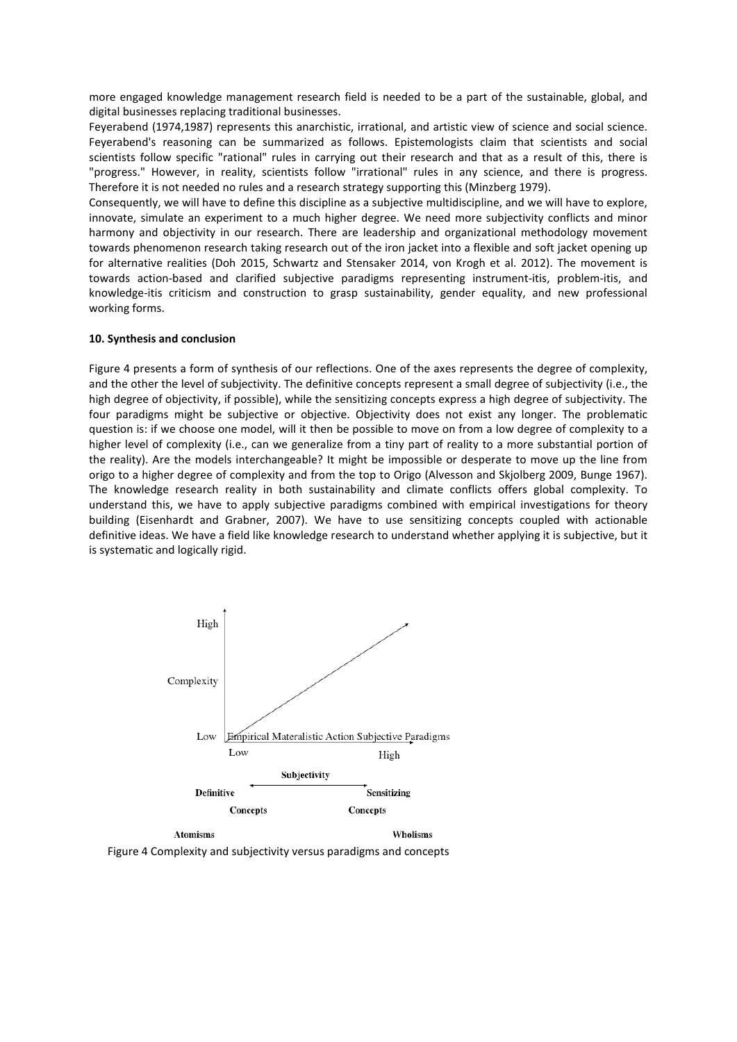more engaged knowledge management research field is needed to be a part of the sustainable, global, and digital businesses replacing traditional businesses.

Feyerabend (1974,1987) represents this anarchistic, irrational, and artistic view of science and social science. Feyerabend's reasoning can be summarized as follows. Epistemologists claim that scientists and social scientists follow specific "rational" rules in carrying out their research and that as a result of this, there is "progress." However, in reality, scientists follow "irrational" rules in any science, and there is progress. Therefore it is not needed no rules and a research strategy supporting this (Minzberg 1979).

Consequently, we will have to define this discipline as a subjective multidiscipline, and we will have to explore, innovate, simulate an experiment to a much higher degree. We need more subjectivity conflicts and minor harmony and objectivity in our research. There are leadership and organizational methodology movement towards phenomenon research taking research out of the iron jacket into a flexible and soft jacket opening up for alternative realities (Doh 2015, Schwartz and Stensaker 2014, von Krogh et al. 2012). The movement is towards action-based and clarified subjective paradigms representing instrument-itis, problem-itis, and knowledge-itis criticism and construction to grasp sustainability, gender equality, and new professional working forms.

### **10. Synthesis and conclusion**

Figure 4 presents a form of synthesis of our reflections. One of the axes represents the degree of complexity, and the other the level of subjectivity. The definitive concepts represent a small degree of subjectivity (i.e., the high degree of objectivity, if possible), while the sensitizing concepts express a high degree of subjectivity. The four paradigms might be subjective or objective. Objectivity does not exist any longer. The problematic question is: if we choose one model, will it then be possible to move on from a low degree of complexity to a higher level of complexity (i.e., can we generalize from a tiny part of reality to a more substantial portion of the reality). Are the models interchangeable? It might be impossible or desperate to move up the line from origo to a higher degree of complexity and from the top to Origo (Alvesson and Skjolberg 2009, Bunge 1967). The knowledge research reality in both sustainability and climate conflicts offers global complexity. To understand this, we have to apply subjective paradigms combined with empirical investigations for theory building (Eisenhardt and Grabner, 2007). We have to use sensitizing concepts coupled with actionable definitive ideas. We have a field like knowledge research to understand whether applying it is subjective, but it is systematic and logically rigid.